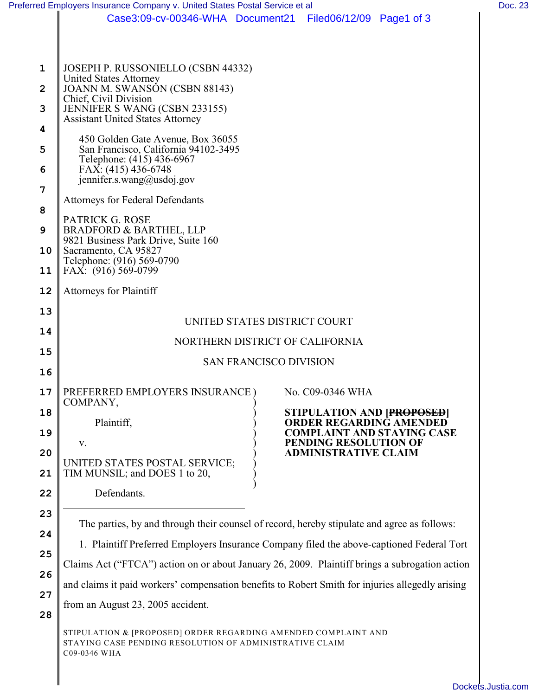|                                                                    | Case3:09-cv-00346-WHA Document21 Filed06/12/09 Page1 of 3                                                                                                                                                                                                                                                                                                                                                                                                                                                                                                                                      |                                                                                                                                                                                      |
|--------------------------------------------------------------------|------------------------------------------------------------------------------------------------------------------------------------------------------------------------------------------------------------------------------------------------------------------------------------------------------------------------------------------------------------------------------------------------------------------------------------------------------------------------------------------------------------------------------------------------------------------------------------------------|--------------------------------------------------------------------------------------------------------------------------------------------------------------------------------------|
|                                                                    |                                                                                                                                                                                                                                                                                                                                                                                                                                                                                                                                                                                                |                                                                                                                                                                                      |
| 1<br>$\overline{2}$<br>3<br>4<br>5<br>6<br>7<br>8<br>9<br>10<br>11 | JOSEPH P. RUSSONIELLO (CSBN 44332)<br><b>United States Attorney</b><br>JOANN M. SWANSÓN (CSBN 88143)<br>Chief, Civil Division<br>JENNIFER S WANG (CSBN 233155)<br><b>Assistant United States Attorney</b><br>450 Golden Gate Avenue, Box 36055<br>San Francisco, California 94102-3495<br>Telephone: (415) 436-6967<br>FAX: (415) 436-6748<br>jennifer.s.wang@usdoj.gov<br><b>Attorneys for Federal Defendants</b><br>PATRICK G. ROSE<br><b>BRADFORD &amp; BARTHEL, LLP</b><br>9821 Business Park Drive, Suite 160<br>Sacramento, CA 95827<br>Telephone: (916) 569-0790<br>FAX: (916) 569-0799 |                                                                                                                                                                                      |
| 12                                                                 | <b>Attorneys for Plaintiff</b>                                                                                                                                                                                                                                                                                                                                                                                                                                                                                                                                                                 |                                                                                                                                                                                      |
| 13                                                                 | UNITED STATES DISTRICT COURT                                                                                                                                                                                                                                                                                                                                                                                                                                                                                                                                                                   |                                                                                                                                                                                      |
| 14                                                                 | NORTHERN DISTRICT OF CALIFORNIA<br><b>SAN FRANCISCO DIVISION</b>                                                                                                                                                                                                                                                                                                                                                                                                                                                                                                                               |                                                                                                                                                                                      |
| 15                                                                 |                                                                                                                                                                                                                                                                                                                                                                                                                                                                                                                                                                                                |                                                                                                                                                                                      |
| 16                                                                 |                                                                                                                                                                                                                                                                                                                                                                                                                                                                                                                                                                                                |                                                                                                                                                                                      |
| 17<br>18<br>19<br>20<br>21<br>22                                   | PREFERRED EMPLOYERS INSURANCE)<br>COMPANY,<br>Plaintiff,<br>V.<br>UNITED STATES POSTAL SERVICE;<br>TIM MUNSIL; and DOES 1 to 20,<br>Defendants.                                                                                                                                                                                                                                                                                                                                                                                                                                                | No. C09-0346 WHA<br><b>STIPULATION AND [PROPOSED]</b><br><b>ORDER REGARDING AMENDED</b><br><b>COMPLAINT AND STAYING CASE</b><br>PENDING RESOLUTION OF<br><b>ADMINISTRATIVE CLAIM</b> |
| 23<br>24<br>25<br>26<br>27                                         | The parties, by and through their counsel of record, hereby stipulate and agree as follows:<br>1. Plaintiff Preferred Employers Insurance Company filed the above-captioned Federal Tort<br>Claims Act ("FTCA") action on or about January 26, 2009. Plaintiff brings a subrogation action<br>and claims it paid workers' compensation benefits to Robert Smith for injuries allegedly arising                                                                                                                                                                                                 |                                                                                                                                                                                      |
| 28                                                                 | from an August 23, 2005 accident.<br>STIPULATION & [PROPOSED] ORDER REGARDING AMENDED COMPLAINT AND<br>STAYING CASE PENDING RESOLUTION OF ADMINISTRATIVE CLAIM<br>C09-0346 WHA                                                                                                                                                                                                                                                                                                                                                                                                                 |                                                                                                                                                                                      |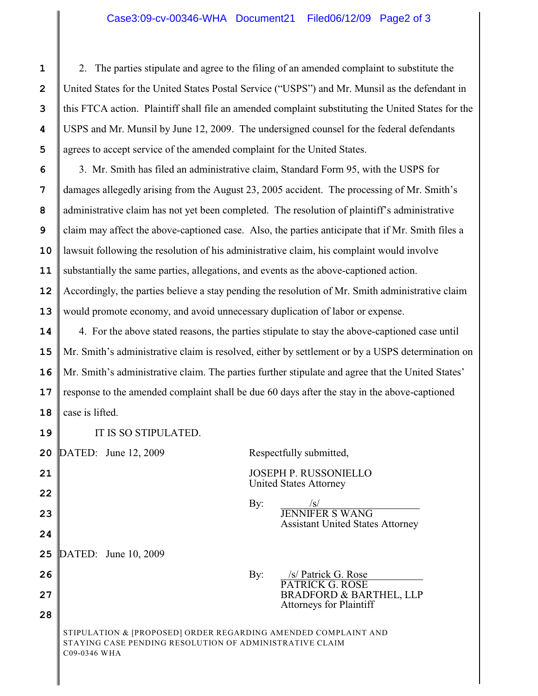2. The parties stipulate and agree to the filing of an amended complaint to substitute the United States for the United States Postal Service ("USPS") and Mr. Munsil as the defendant in this FTCA action. Plaintiff shall file an amended complaint substituting the United States for the USPS and Mr. Munsil by June 12, 2009. The undersigned counsel for the federal defendants agrees to accept service of the amended complaint for the United States.

**10 11 12 13** 3. Mr. Smith has filed an administrative claim, Standard Form 95, with the USPS for damages allegedly arising from the August 23, 2005 accident. The processing of Mr. Smith's administrative claim has not yet been completed. The resolution of plaintiff's administrative claim may affect the above-captioned case. Also, the parties anticipate that if Mr. Smith files a lawsuit following the resolution of his administrative claim, his complaint would involve substantially the same parties, allegations, and events as the above-captioned action. Accordingly, the parties believe a stay pending the resolution of Mr. Smith administrative claim would promote economy, and avoid unnecessary duplication of labor or expense.

**14 15 16 17** 4. For the above stated reasons, the parties stipulate to stay the above-captioned case until Mr. Smith's administrative claim is resolved, either by settlement or by a USPS determination on Mr. Smith's administrative claim. The parties further stipulate and agree that the United States' response to the amended complaint shall be due 60 days after the stay in the above-captioned case is lifted.

**19** IT IS SO STIPULATED.

DATED: June 12, 2009 Respectfully submitted,

JOSEPH P. RUSSONIELLO United States Attorney

By: /s/ Patrick G. Rose

PATRICK G. ROSE

Attorneys for Plaintiff

By:  $/s/$ JENNIFER S WANG Assistant United States Attorney

BRADFORD & BARTHEL, LLP

**25** DATED: June 10, 2009

**27**

**28**

**26**

**24**

STIPULATION & [PROPOSED] ORDER REGARDING AMENDED COMPLAINT AND STAYING CASE PENDING RESOLUTION OF ADMINISTRATIVE CLAIM C09-0346 WHA